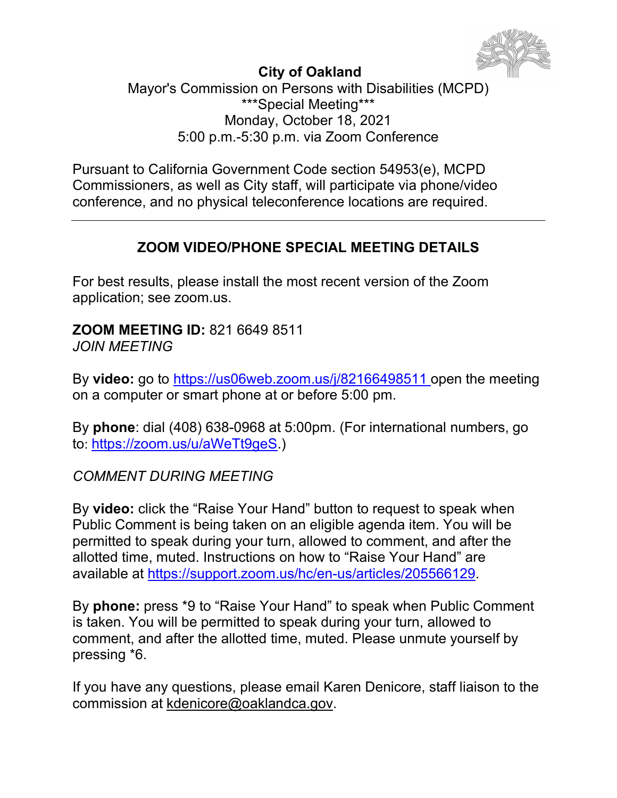

### **City of Oakland**

Mayor's Commission on Persons with Disabilities (MCPD) \*\*\*Special Meeting\*\*\* Monday, October 18, 2021 5:00 p.m.-5:30 p.m. via Zoom Conference

Pursuant to California Government Code section 54953(e), MCPD Commissioners, as well as City staff, will participate via phone/video conference, and no physical teleconference locations are required.

## **ZOOM VIDEO/PHONE SPECIAL MEETING DETAILS**

For best results, please install the most recent version of the Zoom application; see zoom.us.

**ZOOM MEETING ID:** 821 6649 8511 *JOIN MEETING*

By **video:** go to <https://us06web.zoom.us/j/82166498511> [o](https://us06web.zoom.us/j/82166498511)pen the meeting on a computer or smart phone at or before 5:00 pm.

By **phone**: dial (408) 638-0968 at 5:00pm. (For international numbers, go to: [https://zoom.us/u/aWeTt9geS.](https://zoom.us/u/aWeTt9geS))

*COMMENT DURING MEETING*

By **video:** click the "Raise Your Hand" button to request to speak when Public Comment is being taken on an eligible agenda item. You will be permitted to speak during your turn, allowed to comment, and after the allotted time, muted. Instructions on how to "Raise Your Hand" are available at [https://support.zoom.us/hc/en-us/articles/205566129.](https://support.zoom.us/hc/en-us/articles/205566129)

By **phone:** press \*9 to "Raise Your Hand" to speak when Public Comment is taken. You will be permitted to speak during your turn, allowed to comment, and after the allotted time, muted. Please unmute yourself by pressing \*6.

If you have any questions, please email Karen Denicore, staff liaison to the commission at [kdenicore@oaklandca.gov.](mailto:jstanley@oaklandca.gov)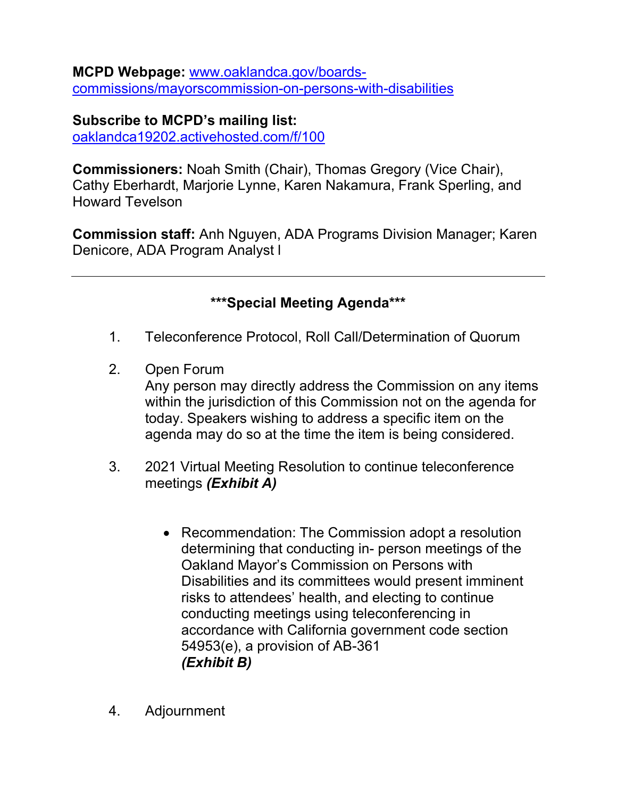**MCPD Webpage:** [www.oaklandca.gov/boards](http://www.oaklandca.gov/boards-commissions/mayorscommission-on-persons-with-disabilities)[commissions/mayorscommission-on-persons-with-disabilities](http://www.oaklandca.gov/boards-commissions/mayorscommission-on-persons-with-disabilities)

**Subscribe to MCPD's mailing list:**  oaklandca19202.activehosted.com/f/100

**Commissioners:** Noah Smith (Chair), Thomas Gregory (Vice Chair), Cathy Eberhardt, Marjorie Lynne, Karen Nakamura, Frank Sperling, and Howard Tevelson

**Commission staff:** Anh Nguyen, ADA Programs Division Manager; Karen Denicore, ADA Program Analyst l

**\*\*\*Special Meeting Agenda\*\*\***

- 1. Teleconference Protocol, Roll Call/Determination of Quorum
- 2. Open Forum

Any person may directly address the Commission on any items within the jurisdiction of this Commission not on the agenda for today. Speakers wishing to address a specific item on the agenda may do so at the time the item is being considered.

- 3. 2021 Virtual Meeting Resolution to continue teleconference meetings *(Exhibit A)*
	- Recommendation: The Commission adopt a resolution determining that conducting in- person meetings of the Oakland Mayor's Commission on Persons with Disabilities and its committees would present imminent risks to attendees' health, and electing to continue conducting meetings using teleconferencing in accordance with California government code section 54953(e), a provision of AB-361 *(Exhibit B)*
- 4. Adjournment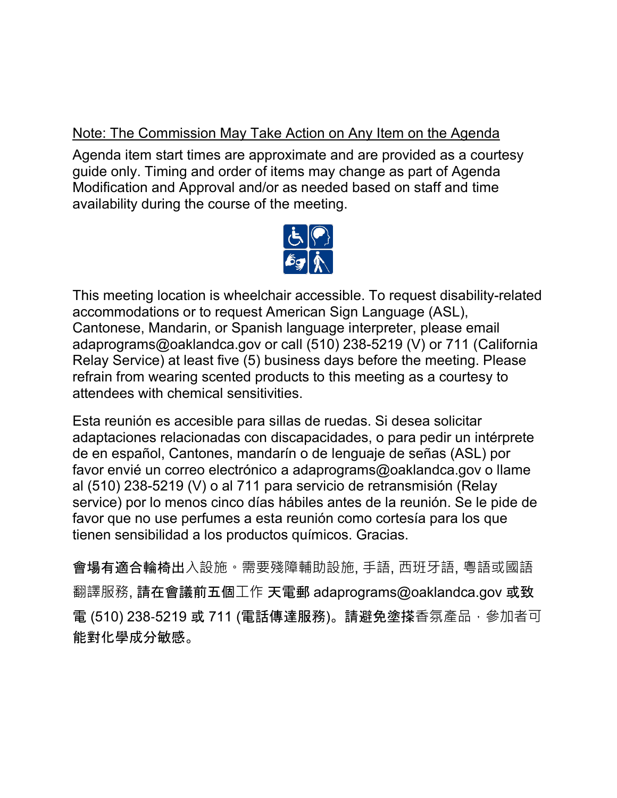## Note: The Commission May Take Action on Any Item on the Agenda

Agenda item start times are approximate and are provided as a courtesy guide only. Timing and order of items may change as part of Agenda Modification and Approval and/or as needed based on staff and time availability during the course of the meeting.



This meeting location is wheelchair accessible. To request disability-related accommodations or to request American Sign Language (ASL), Cantonese, Mandarin, or Spanish language interpreter, please email adaprograms@oaklandca.gov or call (510) 238-5219 (V) or 711 (California Relay Service) at least five (5) business days before the meeting. Please refrain from wearing scented products to this meeting as a courtesy to attendees with chemical sensitivities.

Esta reunión es accesible para sillas de ruedas. Si desea solicitar adaptaciones relacionadas con discapacidades, o para pedir un intérprete de en español, Cantones, mandarín o de lenguaje de señas (ASL) por favor envié un correo electrónico a adaprograms@oaklandca.gov o llame al (510) 238-5219 (V) o al 711 para servicio de retransmisión (Relay service) por lo menos cinco días hábiles antes de la reunión. Se le pide de favor que no use perfumes a esta reunión como cortesía para los que tienen sensibilidad a los productos químicos. Gracias.

會場有適合輪椅出入設施。需要殘障輔助設施, 手語, 西班牙語, 粵語或國語 翻譯服務, 請在會議前五個⼯作 天電郵 adaprograms@oaklandca.gov 或致 電 (510) 238-5219 或 711 (電話傳達服務)。請避免塗搽香氛產品,參加者可 能對化學成分敏感。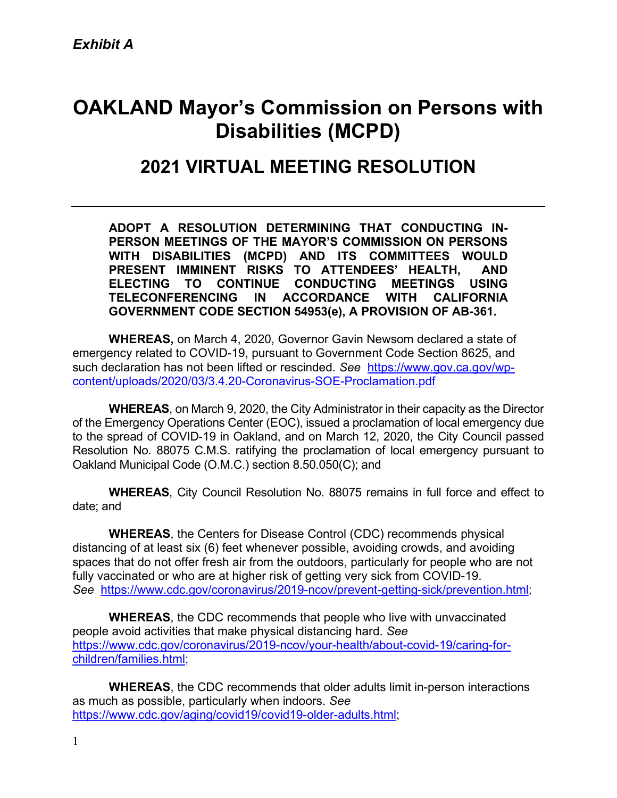# **OAKLAND Mayor's Commission on Persons with Disabilities (MCPD)**

## **2021 VIRTUAL MEETING RESOLUTION**

**ADOPT A RESOLUTION DETERMINING THAT CONDUCTING IN-PERSON MEETINGS OF THE MAYOR'S COMMISSION ON PERSONS WITH DISABILITIES (MCPD) AND ITS COMMITTEES WOULD PRESENT IMMINENT RISKS TO ATTENDEES' HEALTH, AND ELECTING TO CONTINUE CONDUCTING MEETINGS USING TELECONFERENCING IN ACCORDANCE WITH CALIFORNIA GOVERNMENT CODE SECTION 54953(e), A PROVISION OF AB-361.**

**WHEREAS,** on March 4, 2020, Governor Gavin Newsom declared a state of emergency related to COVID-19, pursuant to Government Code Section 8625, and such declaration has not been lifted or rescinded. *See* [https://www.gov.ca.gov/wp](https://www.gov.ca.gov/wp-content/uploads/2020/03/3.4.20-Coronavirus-SOE-Proclamation.pdf)[content/uploads/2020/03/3.4.20-Coronavirus-SOE-Proclamation.pdf](https://www.gov.ca.gov/wp-content/uploads/2020/03/3.4.20-Coronavirus-SOE-Proclamation.pdf)

**WHEREAS**, on March 9, 2020, the City Administrator in their capacity as the Director of the Emergency Operations Center (EOC), issued a proclamation of local emergency due to the spread of COVID-19 in Oakland, and on March 12, 2020, the City Council passed Resolution No. 88075 C.M.S. ratifying the proclamation of local emergency pursuant to Oakland Municipal Code (O.M.C.) section 8.50.050(C); and

**WHEREAS**, City Council Resolution No. 88075 remains in full force and effect to date; and

**WHEREAS**, the Centers for Disease Control (CDC) recommends physical distancing of at least six (6) feet whenever possible, avoiding crowds, and avoiding spaces that do not offer fresh air from the outdoors, particularly for people who are not fully vaccinated or who are at higher risk of getting very sick from COVID-19. *See* [https://www.cdc.gov/coronavirus/2019-ncov/prevent-getting-sick/prevention.html;](https://www.cdc.gov/coronavirus/2019-ncov/prevent-getting-sick/prevention.html)

**WHEREAS**, the CDC recommends that people who live with unvaccinated people avoid activities that make physical distancing hard. *See* [https://www.cdc.gov/coronavirus/2019-ncov/your-health/about-covid-19/caring-for](https://www.cdc.gov/coronavirus/2019-ncov/your-health/about-covid-19/caring-for-children/families.html)[children/families.html;](https://www.cdc.gov/coronavirus/2019-ncov/your-health/about-covid-19/caring-for-children/families.html)

**WHEREAS**, the CDC recommends that older adults limit in-person interactions as much as possible, particularly when indoors. *See* [https://www.cdc.gov/aging/covid19/covid19-older-adults.html;](https://www.cdc.gov/aging/covid19/covid19-older-adults.html)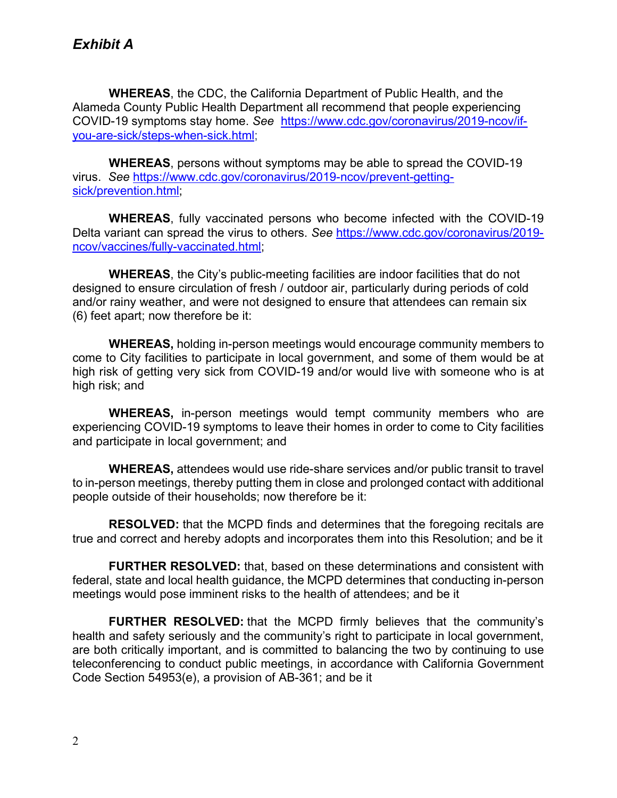**WHEREAS**, the CDC, the California Department of Public Health, and the Alameda County Public Health Department all recommend that people experiencing COVID-19 symptoms stay home. *See* [https://www.cdc.gov/coronavirus/2019-ncov/if](https://www.cdc.gov/coronavirus/2019-ncov/if-you-are-sick/steps-when-sick.html)[you-are-sick/steps-when-sick.html;](https://www.cdc.gov/coronavirus/2019-ncov/if-you-are-sick/steps-when-sick.html)

**WHEREAS**, persons without symptoms may be able to spread the COVID-19 virus. *See* [https://www.cdc.gov/coronavirus/2019-ncov/prevent-getting](https://www.cdc.gov/coronavirus/2019-ncov/prevent-getting-sick/prevention.html)[sick/prevention.html;](https://www.cdc.gov/coronavirus/2019-ncov/prevent-getting-sick/prevention.html)

**WHEREAS**, fully vaccinated persons who become infected with the COVID-19 Delta variant can spread the virus to others. *See* [https://www.cdc.gov/coronavirus/2019](https://www.cdc.gov/coronavirus/2019-ncov/vaccines/fully-vaccinated.html) [ncov/vaccines/fully-vaccinated.html;](https://www.cdc.gov/coronavirus/2019-ncov/vaccines/fully-vaccinated.html)

**WHEREAS**, the City's public-meeting facilities are indoor facilities that do not designed to ensure circulation of fresh / outdoor air, particularly during periods of cold and/or rainy weather, and were not designed to ensure that attendees can remain six (6) feet apart; now therefore be it:

**WHEREAS,** holding in-person meetings would encourage community members to come to City facilities to participate in local government, and some of them would be at high risk of getting very sick from COVID-19 and/or would live with someone who is at high risk; and

**WHEREAS,** in-person meetings would tempt community members who are experiencing COVID-19 symptoms to leave their homes in order to come to City facilities and participate in local government; and

**WHEREAS,** attendees would use ride-share services and/or public transit to travel to in-person meetings, thereby putting them in close and prolonged contact with additional people outside of their households; now therefore be it:

**RESOLVED:** that the MCPD finds and determines that the foregoing recitals are true and correct and hereby adopts and incorporates them into this Resolution; and be it

**FURTHER RESOLVED:** that, based on these determinations and consistent with federal, state and local health guidance, the MCPD determines that conducting in-person meetings would pose imminent risks to the health of attendees; and be it

**FURTHER RESOLVED:** that the MCPD firmly believes that the community's health and safety seriously and the community's right to participate in local government, are both critically important, and is committed to balancing the two by continuing to use teleconferencing to conduct public meetings, in accordance with California Government Code Section 54953(e), a provision of AB-361; and be it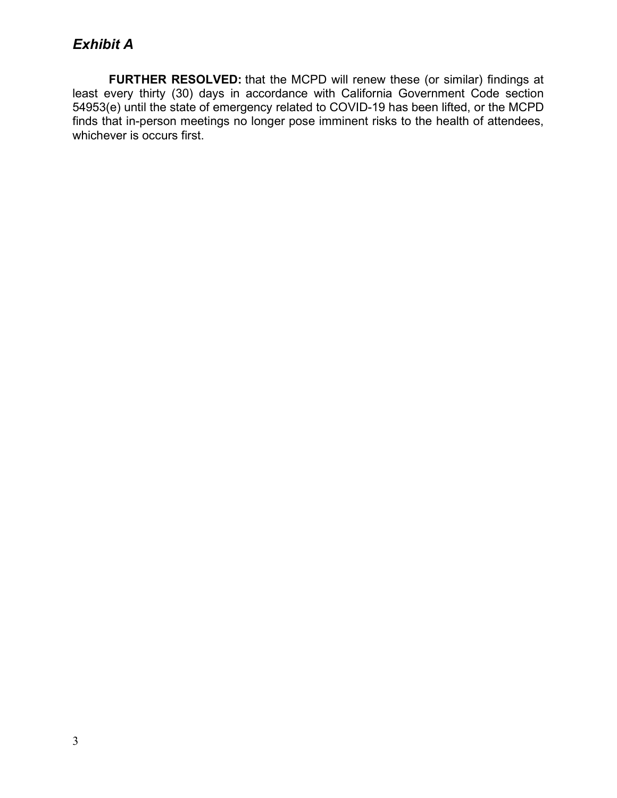**FURTHER RESOLVED:** that the MCPD will renew these (or similar) findings at least every thirty (30) days in accordance with California Government Code section 54953(e) until the state of emergency related to COVID-19 has been lifted, or the MCPD finds that in-person meetings no longer pose imminent risks to the health of attendees, whichever is occurs first.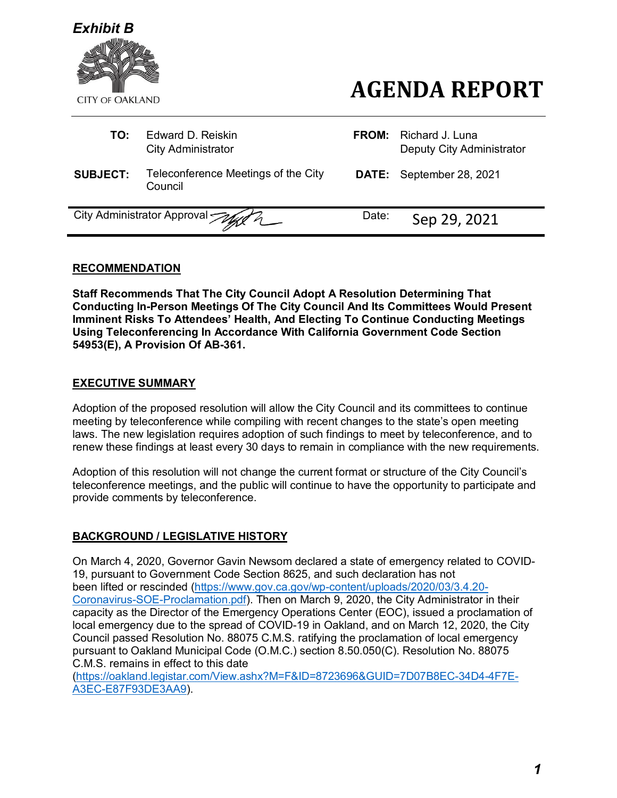

- **TO:** Fdward D. Reiskin **City Administrator**
- **SUBJECT:** Teleconference Meetings of the City Council

| <b>FROM:</b> Richard J. Luna<br>Deputy City Administrator |
|-----------------------------------------------------------|
| <b>DATE:</b> September 28, 2021                           |

**AGENDA REPORT**

City Administrator Approval Machine Date: Sep 29, 2021

#### **RECOMMENDATION**

**Staff Recommends That The City Council Adopt A Resolution Determining That Conducting In-Person Meetings Of The City Council And Its Committees Would Present Imminent Risks To Attendees' Health, And Electing To Continue Conducting Meetings Using Teleconferencing In Accordance With California Government Code Section 54953(E), A Provision Of AB-361.**

#### **EXECUTIVE SUMMARY**

Adoption of the proposed resolution will allow the City Council and its committees to continue meeting by teleconference while compiling with recent changes to the state's open meeting laws. The new legislation requires adoption of such findings to meet by teleconference, and to renew these findings at least every 30 days to remain in compliance with the new requirements.

Adoption of this resolution will not change the current format or structure of the City Council's teleconference meetings, and the public will continue to have the opportunity to participate and provide comments by teleconference.

#### **BACKGROUND / LEGISLATIVE HISTORY**

On March 4, 2020, Governor Gavin Newsom declared a state of emergency related to COVID-19, pursuant to Government Code Section 8625, and such declaration has not been lifted or rescinded [\(https://www.gov.ca.gov/wp-content/uploads/2020/03/3.4.20-](https://www.gov.ca.gov/wp-content/uploads/2020/03/3.4.20-Coronavirus-SOE-Proclamation.pdf) [Coronavirus-SOE-Proclamation.pdf\)](https://www.gov.ca.gov/wp-content/uploads/2020/03/3.4.20-Coronavirus-SOE-Proclamation.pdf). Then on March 9, 2020, the City Administrator in their capacity as the Director of the Emergency Operations Center (EOC), issued a proclamation of local emergency due to the spread of COVID-19 in Oakland, and on March 12, 2020, the City Council passed Resolution No. 88075 C.M.S. ratifying the proclamation of local emergency pursuant to Oakland Municipal Code (O.M.C.) section 8.50.050(C). Resolution No. 88075 C.M.S. remains in effect to this date

[\(https://oakland.legistar.com/View.ashx?M=F&ID=8723696&GUID=7D07B8EC-34D4-4F7E-](https://oakland.legistar.com/View.ashx?M=F&ID=8723696&GUID=7D07B8EC-34D4-4F7E-A3EC-E87F93DE3AA9)[A3EC-E87F93DE3AA9\)](https://oakland.legistar.com/View.ashx?M=F&ID=8723696&GUID=7D07B8EC-34D4-4F7E-A3EC-E87F93DE3AA9).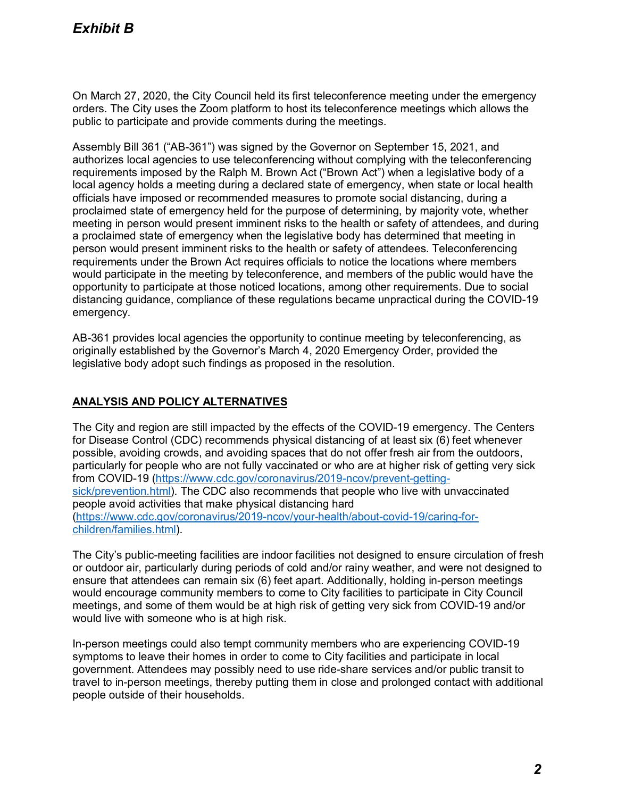On March 27, 2020, the City Council held its first teleconference meeting under the emergency orders. The City uses the Zoom platform to host its teleconference meetings which allows the public to participate and provide comments during the meetings.

Assembly Bill 361 ("AB-361") was signed by the Governor on September 15, 2021, and authorizes local agencies to use teleconferencing without complying with the teleconferencing requirements imposed by the Ralph M. Brown Act ("Brown Act") when a legislative body of a local agency holds a meeting during a declared state of emergency, when state or local health officials have imposed or recommended measures to promote social distancing, during a proclaimed state of emergency held for the purpose of determining, by majority vote, whether meeting in person would present imminent risks to the health or safety of attendees, and during a proclaimed state of emergency when the legislative body has determined that meeting in person would present imminent risks to the health or safety of attendees. Teleconferencing requirements under the Brown Act requires officials to notice the locations where members would participate in the meeting by teleconference, and members of the public would have the opportunity to participate at those noticed locations, among other requirements. Due to social distancing guidance, compliance of these regulations became unpractical during the COVID-19 emergency.

AB-361 provides local agencies the opportunity to continue meeting by teleconferencing, as originally established by the Governor's March 4, 2020 Emergency Order, provided the legislative body adopt such findings as proposed in the resolution.

#### **ANALYSIS AND POLICY ALTERNATIVES**

The City and region are still impacted by the effects of the COVID-19 emergency. The Centers for Disease Control (CDC) recommends physical distancing of at least six (6) feet whenever possible, avoiding crowds, and avoiding spaces that do not offer fresh air from the outdoors, particularly for people who are not fully vaccinated or who are at higher risk of getting very sick from COVID-19 [\(https://www.cdc.gov/coronavirus/2019-ncov/prevent-getting](https://www.cdc.gov/coronavirus/2019-ncov/prevent-getting-sick/prevention.html)[sick/prevention.html\)](https://www.cdc.gov/coronavirus/2019-ncov/prevent-getting-sick/prevention.html). The CDC also recommends that people who live with unvaccinated people avoid activities that make physical distancing hard [\(https://www.cdc.gov/coronavirus/2019-ncov/your-health/about-covid-19/caring-for](https://www.cdc.gov/coronavirus/2019-ncov/your-health/about-covid-19/caring-for-children/families.html)[children/families.html\)](https://www.cdc.gov/coronavirus/2019-ncov/your-health/about-covid-19/caring-for-children/families.html).

The City's public-meeting facilities are indoor facilities not designed to ensure circulation of fresh or outdoor air, particularly during periods of cold and/or rainy weather, and were not designed to ensure that attendees can remain six (6) feet apart. Additionally, holding in-person meetings would encourage community members to come to City facilities to participate in City Council meetings, and some of them would be at high risk of getting very sick from COVID-19 and/or would live with someone who is at high risk.

In-person meetings could also tempt community members who are experiencing COVID-19 symptoms to leave their homes in order to come to City facilities and participate in local government. Attendees may possibly need to use ride-share services and/or public transit to travel to in-person meetings, thereby putting them in close and prolonged contact with additional people outside of their households.